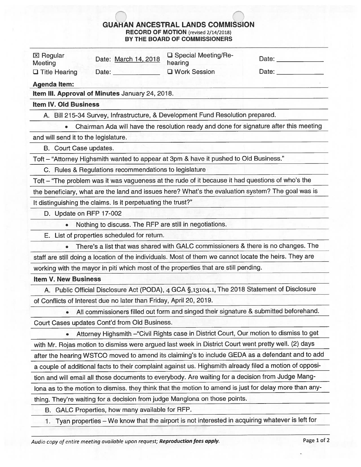## GUAHAN ANCESTRAL LANDS COMMISSION RECORD OF MOTION (revised 2/14/2018) BY THE BOARD OF COMMISSIONERS

| BT THE BUARD OF COMMISSIONERS        |                                                                                                        |                                  |                            |  |
|--------------------------------------|--------------------------------------------------------------------------------------------------------|----------------------------------|----------------------------|--|
| <b>区 Regular</b><br>Meeting          | Date: March 14, 2018                                                                                   | □ Special Meeting/Re-<br>hearing | Date: <u>Date:</u>         |  |
| $\Box$ Title Hearing                 | Date:                                                                                                  | □ Work Session                   | Date: <u>_____________</u> |  |
| <b>Agenda Item:</b>                  |                                                                                                        |                                  |                            |  |
|                                      | Item III. Approval of Minutes January 24, 2018.                                                        |                                  |                            |  |
| <b>Item IV. Old Business</b>         |                                                                                                        |                                  |                            |  |
|                                      | A. Bill 215-34 Survey, Infrastructure, & Development Fund Resolution prepared.                         |                                  |                            |  |
| $\bullet$                            | Chairman Ada will have the resolution ready and done for signature after this meeting                  |                                  |                            |  |
| and will send it to the legislature. |                                                                                                        |                                  |                            |  |
| B. Court Case updates.               |                                                                                                        |                                  |                            |  |
|                                      | Toft - "Attorney Highsmith wanted to appear at 3pm & have it pushed to Old Business."                  |                                  |                            |  |
|                                      | C. Rules & Regulations recommendations to legislature                                                  |                                  |                            |  |
|                                      | Toft - "The problem was it was vagueness at the rude of it because it had questions of who's the       |                                  |                            |  |
|                                      | the beneficiary, what are the land and issues here? What's the evaluation system? The goal was is      |                                  |                            |  |
|                                      | It distinguishing the claims. Is it perpetuating the trust?"                                           |                                  |                            |  |
| D. Update on RFP 17-002              |                                                                                                        |                                  |                            |  |
|                                      | Nothing to discuss. The RFP are still in negotiations.                                                 |                                  |                            |  |
|                                      | E. List of properties scheduled for return.                                                            |                                  |                            |  |
|                                      | There's a list that was shared with GALC commissioners & there is no changes. The                      |                                  |                            |  |
|                                      | staff are still doing a location of the individuals. Most of them we cannot locate the heirs. They are |                                  |                            |  |
|                                      | working with the mayor in piti which most of the properties that are still pending.                    |                                  |                            |  |
| <b>Item V. New Business</b>          |                                                                                                        |                                  |                            |  |
|                                      | A. Public Official Disclosure Act (PODA), 4 GCA §,13104.1, The 2018 Statement of Disclosure            |                                  |                            |  |
|                                      | of Conflicts of Interest due no later than Friday, April 20, 2019.                                     |                                  |                            |  |
| $\bullet$                            | All commissioners filled out form and singed their signature & submitted beforehand.                   |                                  |                            |  |
|                                      |                                                                                                        |                                  |                            |  |

Court Cases updates Cont'd from Old Business.

• Attorney Highsmith —"Civil Rights case in District Court, Our motion to dismiss to ge<sup>t</sup> with Mr. Rojas motion to dismiss were argue<sup>d</sup> last week in District Court went pretty well. (2) days after the hearing WSTCO moved to amend its claiming's to include GEDA as <sup>a</sup> defendant and to add <sup>a</sup> couple of additional facts to their complaint against us. Highsmith already filed <sup>a</sup> motion of oppos<sup>i</sup> tion and will email all those documents to everybody. Are waiting for <sup>a</sup> decision from Judge Mang lona as to the motion to dismiss. they think that the motion to amend is just for delay more than any thing. They're waiting for <sup>a</sup> decision from judge Manglona on those points.

B. GALC Properties, how many available for RFP.

1. Tyan properties — We know that the airport is not interested in acquiring whatever is left for